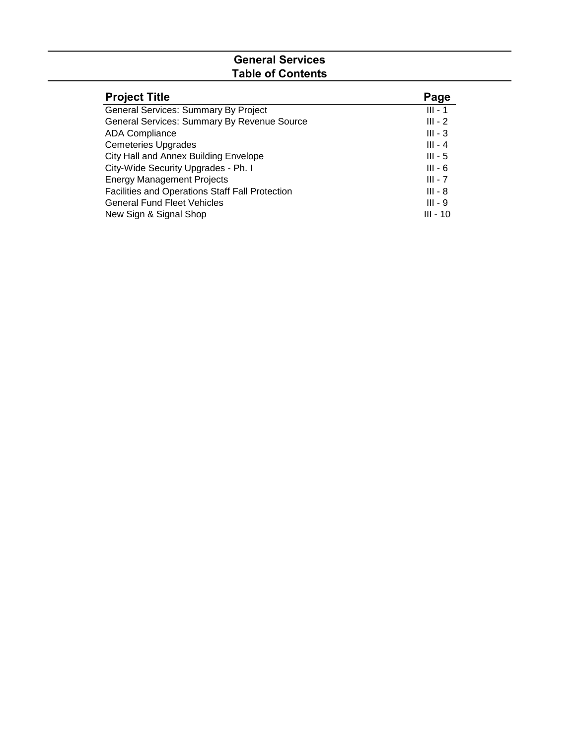# **General Services Table of Contents**

| <b>Project Title</b>                            | Page       |
|-------------------------------------------------|------------|
| General Services: Summary By Project            | $III - 1$  |
| General Services: Summary By Revenue Source     | $III - 2$  |
| <b>ADA Compliance</b>                           | $III - 3$  |
| <b>Cemeteries Upgrades</b>                      | $III - 4$  |
| City Hall and Annex Building Envelope           | $III - 5$  |
| City-Wide Security Upgrades - Ph. I             | $III - 6$  |
| <b>Energy Management Projects</b>               | $III - 7$  |
| Facilities and Operations Staff Fall Protection | $III - 8$  |
| <b>General Fund Fleet Vehicles</b>              | $III - 9$  |
| New Sign & Signal Shop                          | $III - 10$ |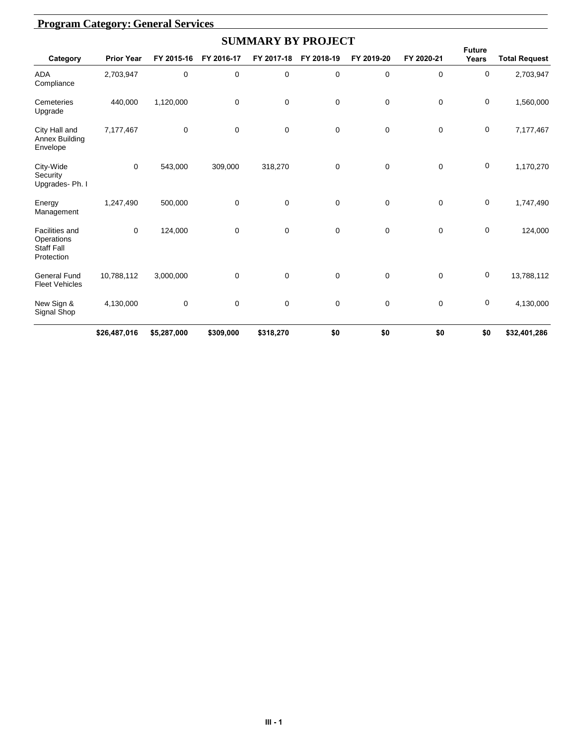|                                                                        |                   |             |             | <b>SUMMARY BY PROJECT</b> |             |            |             |                        |                      |
|------------------------------------------------------------------------|-------------------|-------------|-------------|---------------------------|-------------|------------|-------------|------------------------|----------------------|
| Category                                                               | <b>Prior Year</b> | FY 2015-16  | FY 2016-17  | FY 2017-18                | FY 2018-19  | FY 2019-20 | FY 2020-21  | <b>Future</b><br>Years | <b>Total Request</b> |
| <b>ADA</b><br>Compliance                                               | 2,703,947         | 0           | 0           | $\mathbf 0$               | 0           | 0          | $\mathbf 0$ | 0                      | 2,703,947            |
| Cemeteries<br>Upgrade                                                  | 440,000           | 1,120,000   | 0           | 0                         | 0           | 0          | $\mathbf 0$ | 0                      | 1,560,000            |
| City Hall and<br>Annex Building<br>Envelope                            | 7,177,467         | 0           | $\mathbf 0$ | 0                         | 0           | 0          | $\mathbf 0$ | 0                      | 7,177,467            |
| City-Wide<br>Security<br>Upgrades-Ph. I                                | $\mathbf 0$       | 543,000     | 309,000     | 318,270                   | 0           | 0          | $\mathbf 0$ | 0                      | 1,170,270            |
| Energy<br>Management                                                   | 1,247,490         | 500,000     | 0           | 0                         | 0           | 0          | $\mathbf 0$ | 0                      | 1,747,490            |
| <b>Facilities and</b><br>Operations<br><b>Staff Fall</b><br>Protection | $\mathbf 0$       | 124,000     | 0           | 0                         | 0           | 0          | $\mathbf 0$ | 0                      | 124,000              |
| <b>General Fund</b><br><b>Fleet Vehicles</b>                           | 10,788,112        | 3,000,000   | $\mathbf 0$ | $\mathbf 0$               | $\mathbf 0$ | 0          | $\mathbf 0$ | 0                      | 13,788,112           |
| New Sign &<br>Signal Shop                                              | 4,130,000         | 0           | $\pmb{0}$   | 0                         | 0           | $\pmb{0}$  | $\mathbf 0$ | 0                      | 4,130,000            |
|                                                                        | \$26,487,016      | \$5,287,000 | \$309,000   | \$318,270                 | \$0         | \$0        | \$0         | \$0                    | \$32,401,286         |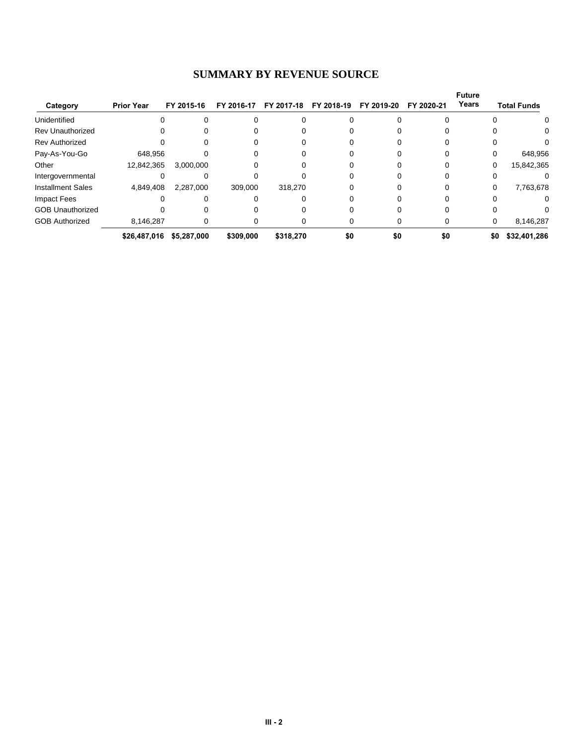#### **SUMMARY BY REVENUE SOURCE**

|                          |                   |             |            |            |            |            |            | <b>Future</b> |                    |
|--------------------------|-------------------|-------------|------------|------------|------------|------------|------------|---------------|--------------------|
| Category                 | <b>Prior Year</b> | FY 2015-16  | FY 2016-17 | FY 2017-18 | FY 2018-19 | FY 2019-20 | FY 2020-21 | Years         | <b>Total Funds</b> |
| Unidentified             |                   |             |            |            |            |            |            |               | 0                  |
| <b>Rev Unauthorized</b>  |                   |             |            |            |            |            |            |               | 0.                 |
| <b>Rev Authorized</b>    |                   |             |            |            |            |            |            |               |                    |
| Pay-As-You-Go            | 648.956           |             |            |            |            |            |            |               | 648,956            |
| Other                    | 12,842,365        | 3,000,000   |            |            |            |            |            | 0             | 15,842,365         |
| Intergovernmental        |                   |             |            |            |            |            |            |               |                    |
| <b>Installment Sales</b> | 4,849,408         | 2,287,000   | 309.000    | 318,270    |            |            |            | 0             | 7,763,678          |
| <b>Impact Fees</b>       |                   |             |            |            |            |            |            | 0             |                    |
| <b>GOB Unauthorized</b>  |                   |             |            |            |            |            |            |               |                    |
| <b>GOB Authorized</b>    | 8,146,287         |             |            |            |            |            |            | 0             | 8,146,287          |
|                          | \$26,487,016      | \$5,287,000 | \$309,000  | \$318.270  | \$0        | \$0        | \$0        | \$0           | \$32,401,286       |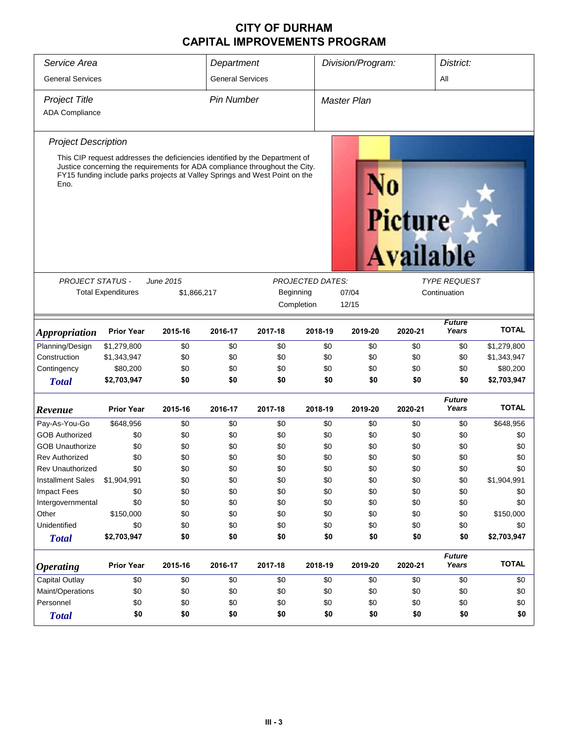| Service Area               |                           |                                                                                                                                                                                                                                           | Department              |            |                         | Division/Program:  |                      |                        | District:    |  |
|----------------------------|---------------------------|-------------------------------------------------------------------------------------------------------------------------------------------------------------------------------------------------------------------------------------------|-------------------------|------------|-------------------------|--------------------|----------------------|------------------------|--------------|--|
| <b>General Services</b>    |                           |                                                                                                                                                                                                                                           | <b>General Services</b> |            |                         |                    |                      | All                    |              |  |
| <b>Project Title</b>       |                           |                                                                                                                                                                                                                                           | <b>Pin Number</b>       |            |                         | <b>Master Plan</b> |                      |                        |              |  |
| <b>ADA Compliance</b>      |                           |                                                                                                                                                                                                                                           |                         |            |                         |                    |                      |                        |              |  |
|                            |                           |                                                                                                                                                                                                                                           |                         |            |                         |                    |                      |                        |              |  |
| <b>Project Description</b> |                           |                                                                                                                                                                                                                                           |                         |            |                         |                    |                      |                        |              |  |
| Eno.                       |                           | This CIP request addresses the deficiencies identified by the Department of<br>Justice concerning the requirements for ADA compliance throughout the City.<br>FY15 funding include parks projects at Valley Springs and West Point on the |                         |            |                         |                    | Picture<br>Available |                        |              |  |
|                            |                           |                                                                                                                                                                                                                                           |                         |            |                         |                    |                      |                        |              |  |
| <b>PROJECT STATUS -</b>    |                           | June 2015                                                                                                                                                                                                                                 |                         |            | <b>PROJECTED DATES:</b> |                    |                      | <b>TYPE REQUEST</b>    |              |  |
|                            | <b>Total Expenditures</b> | \$1,866,217                                                                                                                                                                                                                               |                         | Beginning  |                         | 07/04              |                      | Continuation           |              |  |
|                            |                           |                                                                                                                                                                                                                                           |                         | Completion |                         | 12/15              |                      |                        |              |  |
| <b>Appropriation</b>       | <b>Prior Year</b>         | 2015-16                                                                                                                                                                                                                                   | 2016-17                 | 2017-18    | 2018-19                 | 2019-20            | 2020-21              | <b>Future</b><br>Years | <b>TOTAL</b> |  |
| Planning/Design            | \$1,279,800               | \$0                                                                                                                                                                                                                                       | \$0                     | \$0        | \$0                     | \$0                | \$0                  | \$0                    | \$1,279,800  |  |
| Construction               | \$1,343,947               | \$0                                                                                                                                                                                                                                       | \$0                     | \$0        | \$0                     | \$0                | \$0                  | \$0                    | \$1,343,947  |  |
| Contingency                | \$80,200                  | \$0                                                                                                                                                                                                                                       | \$0                     | \$0        | \$0                     | \$0                | \$0                  | \$0                    | \$80,200     |  |
| <b>Total</b>               | \$2,703,947               | \$0                                                                                                                                                                                                                                       | \$0                     | \$0        | \$0                     | \$0                | \$0                  | \$0                    | \$2,703,947  |  |
| Revenue                    | <b>Prior Year</b>         | 2015-16                                                                                                                                                                                                                                   | 2016-17                 | 2017-18    | 2018-19                 | 2019-20            | 2020-21              | <b>Future</b><br>Years | <b>TOTAL</b> |  |
| Pay-As-You-Go              | \$648,956                 | \$0                                                                                                                                                                                                                                       | \$0                     | \$0        | \$0                     | \$0                | \$0                  | \$0                    | \$648,956    |  |
| <b>GOB Authorized</b>      | \$0                       | \$0                                                                                                                                                                                                                                       | \$0                     | \$0        | \$0                     | \$0                | \$0                  | \$0                    | \$0          |  |
| <b>GOB Unauthorize</b>     | \$0                       | \$0                                                                                                                                                                                                                                       | \$0                     | \$0        | \$0                     | \$0                | \$0                  | \$0                    | \$0          |  |
| <b>Rev Authorized</b>      | \$0                       | \$0                                                                                                                                                                                                                                       | \$0                     | \$0        | \$0                     | \$0                | \$0                  | \$0                    | \$0          |  |
| Rev Unauthorized           | \$0                       | \$0                                                                                                                                                                                                                                       | \$0                     | \$0        | \$0                     | \$0                | \$0                  | \$0                    | \$0          |  |
| <b>Installment Sales</b>   | \$1,904,991               | \$0                                                                                                                                                                                                                                       | \$0                     | \$0        | \$0                     | \$0                | \$0                  | \$0                    | \$1,904,991  |  |
| <b>Impact Fees</b>         | \$0                       | \$0                                                                                                                                                                                                                                       | \$0                     | \$0        | \$0                     | \$0                | \$0                  | \$0                    | \$0          |  |
| Intergovernmental          | \$0                       | \$0                                                                                                                                                                                                                                       | \$0                     | \$0        | \$0                     | \$0                | \$0                  | \$0                    | \$0          |  |
| Other                      | \$150,000                 | \$0                                                                                                                                                                                                                                       | \$0                     | \$0        | \$0                     | \$0                | \$0                  | \$0                    | \$150,000    |  |
| Unidentified               | \$0                       | \$0                                                                                                                                                                                                                                       | \$0                     | \$0        | \$0                     | \$0                | \$0                  | \$0                    | \$0          |  |
| <b>Total</b>               | \$2,703,947               | \$0                                                                                                                                                                                                                                       | \$0                     | \$0        | \$0                     | \$0                | \$0                  | \$0                    | \$2,703,947  |  |
| <b>Operating</b>           | <b>Prior Year</b>         | 2015-16                                                                                                                                                                                                                                   | 2016-17                 | 2017-18    | 2018-19                 | 2019-20            | 2020-21              | <b>Future</b><br>Years | <b>TOTAL</b> |  |
| Capital Outlay             | \$0                       | \$0                                                                                                                                                                                                                                       | \$0                     | \$0        | \$0                     | \$0                | \$0                  | \$0                    | \$0          |  |
| Maint/Operations           | \$0                       | \$0                                                                                                                                                                                                                                       | \$0                     | \$0        | \$0                     | \$0                | \$0                  | \$0                    | \$0          |  |
| Personnel                  | \$0                       | \$0                                                                                                                                                                                                                                       | \$0                     | \$0        | \$0                     | \$0                | \$0                  | \$0                    | \$0          |  |
| <b>Total</b>               | \$0                       | \$0                                                                                                                                                                                                                                       | \$0                     | \$0        | \$0                     | \$0                | \$0                  | \$0                    | \$0          |  |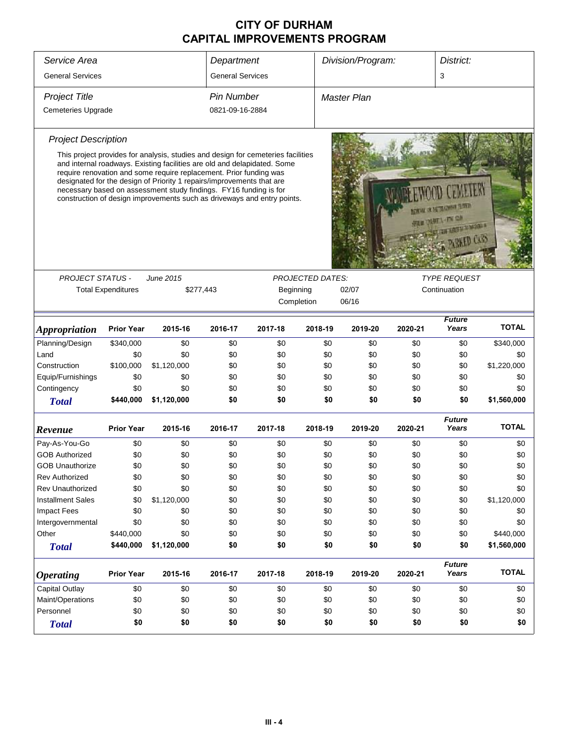|                                                                                  |                           |                                                                                                                                                                                                                                                                                                                                                                                                                                                             |                   |            |                         |                                                                  | District: |                        |              |
|----------------------------------------------------------------------------------|---------------------------|-------------------------------------------------------------------------------------------------------------------------------------------------------------------------------------------------------------------------------------------------------------------------------------------------------------------------------------------------------------------------------------------------------------------------------------------------------------|-------------------|------------|-------------------------|------------------------------------------------------------------|-----------|------------------------|--------------|
| Service Area<br>Department<br><b>General Services</b><br><b>General Services</b> |                           |                                                                                                                                                                                                                                                                                                                                                                                                                                                             |                   |            |                         | Division/Program:                                                |           |                        |              |
|                                                                                  |                           |                                                                                                                                                                                                                                                                                                                                                                                                                                                             |                   |            |                         |                                                                  |           | 3                      |              |
| <b>Project Title</b>                                                             |                           |                                                                                                                                                                                                                                                                                                                                                                                                                                                             | <b>Pin Number</b> |            |                         | Master Plan                                                      |           |                        |              |
| <b>Cemeteries Upgrade</b>                                                        |                           |                                                                                                                                                                                                                                                                                                                                                                                                                                                             | 0821-09-16-2884   |            |                         |                                                                  |           |                        |              |
| <b>Project Description</b>                                                       |                           |                                                                                                                                                                                                                                                                                                                                                                                                                                                             |                   |            |                         |                                                                  |           |                        |              |
|                                                                                  |                           | This project provides for analysis, studies and design for cemeteries facilities<br>and internal roadways. Existing facilities are old and delapidated. Some<br>require renovation and some require replacement. Prior funding was<br>designated for the design of Priority 1 repairs/improvements that are<br>necessary based on assessment study findings. FY16 funding is for<br>construction of design improvements such as driveways and entry points. |                   |            |                         | TABLE IS NETHANIST TANKS<br><b>MATTER CA</b><br>TH RANGE & RANGE |           |                        |              |
| <b>PROJECT STATUS -</b>                                                          |                           | June 2015                                                                                                                                                                                                                                                                                                                                                                                                                                                   |                   |            | <b>PROJECTED DATES:</b> |                                                                  |           | <b>TYPE REQUEST</b>    |              |
|                                                                                  | <b>Total Expenditures</b> | \$277,443                                                                                                                                                                                                                                                                                                                                                                                                                                                   |                   | Beginning  |                         | 02/07                                                            |           | Continuation           |              |
|                                                                                  |                           |                                                                                                                                                                                                                                                                                                                                                                                                                                                             |                   | Completion |                         | 06/16                                                            |           |                        |              |
|                                                                                  |                           |                                                                                                                                                                                                                                                                                                                                                                                                                                                             |                   |            |                         |                                                                  |           |                        |              |
| <i><b>Appropriation</b></i>                                                      | <b>Prior Year</b>         | 2015-16                                                                                                                                                                                                                                                                                                                                                                                                                                                     | 2016-17           | 2017-18    | 2018-19                 | 2019-20                                                          | 2020-21   | <b>Future</b><br>Years | <b>TOTAL</b> |
| Planning/Design                                                                  | \$340,000                 | \$0                                                                                                                                                                                                                                                                                                                                                                                                                                                         | \$0               | \$0        | \$0                     | \$0                                                              | \$0       | \$0                    | \$340,000    |
| Land                                                                             | \$0                       | \$0                                                                                                                                                                                                                                                                                                                                                                                                                                                         | \$0               | \$0        | \$0                     | \$0                                                              | \$0       | \$0                    | \$0          |
| Construction                                                                     | \$100,000                 | \$1,120,000                                                                                                                                                                                                                                                                                                                                                                                                                                                 | \$0               | \$0        | \$0                     | \$0                                                              | \$0       | \$0                    | \$1,220,000  |
| Equip/Furnishings                                                                | \$0                       | \$0                                                                                                                                                                                                                                                                                                                                                                                                                                                         | \$0               | \$0        | \$0                     | \$0                                                              | \$0       | \$0                    | \$0          |
| Contingency                                                                      | \$0                       | \$0                                                                                                                                                                                                                                                                                                                                                                                                                                                         | \$0               | \$0        | \$0                     | \$0                                                              | \$0       | \$0                    | \$0          |
| <b>Total</b>                                                                     | \$440,000                 | \$1,120,000                                                                                                                                                                                                                                                                                                                                                                                                                                                 | \$0               | \$0        | \$0                     | \$0                                                              | \$0       | \$0                    | \$1,560,000  |
| Revenue                                                                          | <b>Prior Year</b>         | 2015-16                                                                                                                                                                                                                                                                                                                                                                                                                                                     | 2016-17           | 2017-18    | 2018-19                 | 2019-20                                                          | 2020-21   | <b>Future</b><br>Years | <b>TOTAL</b> |
| Pay-As-You-Go                                                                    | \$0                       | \$0                                                                                                                                                                                                                                                                                                                                                                                                                                                         | \$0               | \$0        | \$0                     | \$0                                                              | \$0       | \$0                    | \$0          |
| <b>GOB Authorized</b>                                                            | \$0                       | \$0                                                                                                                                                                                                                                                                                                                                                                                                                                                         | \$0               | \$0        | \$0                     | \$0                                                              | \$0       | \$0                    | \$0          |
| <b>GOB Unauthorize</b>                                                           | \$0                       | \$0                                                                                                                                                                                                                                                                                                                                                                                                                                                         | \$0               | \$0        | \$0                     | \$0                                                              | \$0       | \$0                    | \$0          |
| Rev Authorized                                                                   | \$0                       | \$0                                                                                                                                                                                                                                                                                                                                                                                                                                                         | \$0               | \$0        | \$0                     | \$0                                                              | \$0       | \$0                    | \$0          |
| <b>Rev Unauthorized</b>                                                          | \$0                       | \$0                                                                                                                                                                                                                                                                                                                                                                                                                                                         | \$0               | \$0        | \$0                     | \$0                                                              | \$0       | \$0                    | \$0          |
| <b>Installment Sales</b>                                                         | \$0                       | \$1,120,000                                                                                                                                                                                                                                                                                                                                                                                                                                                 | \$0               | \$0        | \$0                     | \$0                                                              | \$0       | \$0                    | \$1,120,000  |
| <b>Impact Fees</b>                                                               | \$0                       | \$0                                                                                                                                                                                                                                                                                                                                                                                                                                                         | \$0               | \$0        | \$0                     | \$0                                                              | \$0       | \$0                    | \$0          |
| Intergovernmental                                                                | \$0                       | \$0                                                                                                                                                                                                                                                                                                                                                                                                                                                         | \$0               | \$0        | \$0                     | \$0                                                              | \$0       | \$0                    | \$0          |
| Other                                                                            | \$440,000                 | \$0                                                                                                                                                                                                                                                                                                                                                                                                                                                         | \$0               | \$0        | \$0                     | \$0                                                              | \$0       | \$0                    | \$440,000    |
| <b>Total</b>                                                                     | \$440,000                 | \$1,120,000                                                                                                                                                                                                                                                                                                                                                                                                                                                 | \$0               | \$0        | \$0                     | \$0                                                              | \$0       | \$0                    | \$1,560,000  |
| <b>Operating</b>                                                                 | <b>Prior Year</b>         | 2015-16                                                                                                                                                                                                                                                                                                                                                                                                                                                     | 2016-17           | 2017-18    | 2018-19                 | 2019-20                                                          | 2020-21   | <b>Future</b><br>Years | <b>TOTAL</b> |
| Capital Outlay                                                                   |                           |                                                                                                                                                                                                                                                                                                                                                                                                                                                             |                   |            |                         | \$0                                                              | \$0       | \$0                    | \$0          |
|                                                                                  | \$0<br>\$0                | \$0<br>\$0                                                                                                                                                                                                                                                                                                                                                                                                                                                  | \$0               | \$0        | \$0                     | \$0                                                              | \$0       | \$0                    | \$0          |
| Maint/Operations<br>Personnel                                                    | \$0                       |                                                                                                                                                                                                                                                                                                                                                                                                                                                             | \$0               | \$0        | \$0                     |                                                                  | \$0       |                        | \$0          |
|                                                                                  | \$0                       | \$0<br>\$0                                                                                                                                                                                                                                                                                                                                                                                                                                                  | \$0<br>\$0        | \$0<br>\$0 | \$0<br>\$0              | \$0<br>\$0                                                       | \$0       | \$0<br>\$0             | \$0          |
| <b>Total</b>                                                                     |                           |                                                                                                                                                                                                                                                                                                                                                                                                                                                             |                   |            |                         |                                                                  |           |                        |              |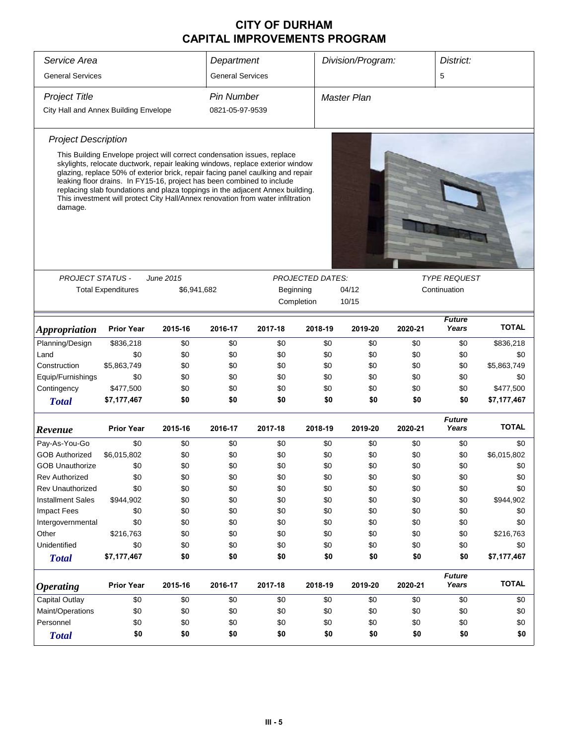| Service Area                          |                                                                                                                                                                                                                                                                                                                                                                                                                                                                                            |             | Department              |           |                         | Division/Program: |         | District:              |              |
|---------------------------------------|--------------------------------------------------------------------------------------------------------------------------------------------------------------------------------------------------------------------------------------------------------------------------------------------------------------------------------------------------------------------------------------------------------------------------------------------------------------------------------------------|-------------|-------------------------|-----------|-------------------------|-------------------|---------|------------------------|--------------|
| <b>General Services</b>               |                                                                                                                                                                                                                                                                                                                                                                                                                                                                                            |             | <b>General Services</b> |           |                         |                   |         | 5                      |              |
| <b>Project Title</b>                  |                                                                                                                                                                                                                                                                                                                                                                                                                                                                                            |             | <b>Pin Number</b>       |           |                         | Master Plan       |         |                        |              |
| City Hall and Annex Building Envelope |                                                                                                                                                                                                                                                                                                                                                                                                                                                                                            |             | 0821-05-97-9539         |           |                         |                   |         |                        |              |
| <b>Project Description</b>            |                                                                                                                                                                                                                                                                                                                                                                                                                                                                                            |             |                         |           |                         |                   |         |                        |              |
| damage.                               | This Building Envelope project will correct condensation issues, replace<br>skylights, relocate ductwork, repair leaking windows, replace exterior window<br>glazing, replace 50% of exterior brick, repair facing panel caulking and repair<br>leaking floor drains. In FY15-16, project has been combined to include<br>replacing slab foundations and plaza toppings in the adjacent Annex building.<br>This investment will protect City Hall/Annex renovation from water infiltration |             |                         |           |                         |                   |         |                        |              |
|                                       |                                                                                                                                                                                                                                                                                                                                                                                                                                                                                            |             |                         |           |                         |                   |         |                        |              |
| <b>PROJECT STATUS -</b>               |                                                                                                                                                                                                                                                                                                                                                                                                                                                                                            | June 2015   |                         |           | <b>PROJECTED DATES:</b> |                   |         | <b>TYPE REQUEST</b>    |              |
|                                       | <b>Total Expenditures</b>                                                                                                                                                                                                                                                                                                                                                                                                                                                                  | \$6,941,682 |                         | Beginning |                         | 04/12             |         | Continuation           |              |
|                                       |                                                                                                                                                                                                                                                                                                                                                                                                                                                                                            |             |                         |           | Completion              | 10/15             |         |                        |              |
| <b>Appropriation</b>                  | <b>Prior Year</b>                                                                                                                                                                                                                                                                                                                                                                                                                                                                          | 2015-16     | 2016-17                 | 2017-18   | 2018-19                 | 2019-20           | 2020-21 | <b>Future</b><br>Years | <b>TOTAL</b> |
| Planning/Design                       | \$836,218                                                                                                                                                                                                                                                                                                                                                                                                                                                                                  | \$0         | \$0                     | \$0       | \$0                     | \$0               | \$0     | \$0                    | \$836,218    |
| Land                                  | \$0                                                                                                                                                                                                                                                                                                                                                                                                                                                                                        | \$0         | \$0                     | \$0       | \$0                     | \$0               | \$0     | \$0                    | \$0          |
| Construction                          | \$5,863,749                                                                                                                                                                                                                                                                                                                                                                                                                                                                                | \$0         | \$0                     | \$0       | \$0                     | \$0               | \$0     | \$0                    | \$5,863,749  |
| Equip/Furnishings                     | \$0                                                                                                                                                                                                                                                                                                                                                                                                                                                                                        | \$0         | \$0                     | \$0       | \$0                     | \$0               | \$0     | \$0                    | \$0          |
| Contingency                           | \$477,500                                                                                                                                                                                                                                                                                                                                                                                                                                                                                  | \$0         | \$0                     | \$0       | \$0                     | \$0               | \$0     | \$0                    | \$477,500    |
| <b>Total</b>                          | \$7,177,467                                                                                                                                                                                                                                                                                                                                                                                                                                                                                | \$0         | \$0                     | \$0       | \$0                     | \$0               | \$0     | \$0                    | \$7,177,467  |
| Revenue                               | Prior Year                                                                                                                                                                                                                                                                                                                                                                                                                                                                                 | 2015-16     | 2016-17                 | 2017-18   | 2018-19                 | 2019-20           | 2020-21 | <b>Future</b><br>Years | <b>TOTAL</b> |
| Pay-As-You-Go                         | \$0                                                                                                                                                                                                                                                                                                                                                                                                                                                                                        | \$0         | \$0                     | \$0       | \$0                     | \$0               | \$0     | \$0                    | \$0          |
| <b>GOB Authorized</b>                 | \$6,015,802                                                                                                                                                                                                                                                                                                                                                                                                                                                                                | \$0         | \$0                     | \$0       | \$0                     | \$0               | \$0     | \$0                    | \$6,015,802  |
| <b>GOB Unauthorize</b>                | \$0                                                                                                                                                                                                                                                                                                                                                                                                                                                                                        | \$0         | \$0                     | \$0       | \$0                     | \$0               | \$0     | \$0                    | \$0          |
| <b>Rev Authorized</b>                 | \$0                                                                                                                                                                                                                                                                                                                                                                                                                                                                                        | \$0         | \$0                     | \$0       | \$0                     | \$0               | \$0     | \$0                    | \$0          |
| <b>Rev Unauthorized</b>               | \$0                                                                                                                                                                                                                                                                                                                                                                                                                                                                                        | \$0         | \$0                     | \$0       | \$0                     | \$0               | \$0     | \$0                    | \$0          |
| <b>Installment Sales</b>              | \$944,902                                                                                                                                                                                                                                                                                                                                                                                                                                                                                  | \$0         | \$0                     | \$0       | \$0                     | \$0               | \$0     | \$0                    | \$944,902    |
| <b>Impact Fees</b>                    | \$0                                                                                                                                                                                                                                                                                                                                                                                                                                                                                        | \$0         | \$0                     | \$0       | \$0                     | \$0               | \$0     | \$0                    | \$0          |
| Intergovernmental                     | \$0                                                                                                                                                                                                                                                                                                                                                                                                                                                                                        | \$0         | \$0                     | \$0       | \$0                     | \$0               | \$0     | \$0                    | \$0          |
| Other                                 | \$216,763                                                                                                                                                                                                                                                                                                                                                                                                                                                                                  | \$0         | \$0                     | \$0       | \$0                     | \$0               | \$0     | \$0                    | \$216,763    |
| Unidentified                          | \$0                                                                                                                                                                                                                                                                                                                                                                                                                                                                                        | \$0         | \$0                     | \$0       | \$0                     | \$0               | \$0     | \$0                    | \$0          |
| <b>Total</b>                          | \$7,177,467                                                                                                                                                                                                                                                                                                                                                                                                                                                                                | \$0         | \$0                     | \$0       | \$0                     | \$0               | \$0     | \$0                    | \$7,177,467  |
| <b>Operating</b>                      | <b>Prior Year</b>                                                                                                                                                                                                                                                                                                                                                                                                                                                                          | 2015-16     | 2016-17                 | 2017-18   | 2018-19                 | 2019-20           | 2020-21 | <b>Future</b><br>Years | <b>TOTAL</b> |
| <b>Capital Outlay</b>                 | \$0                                                                                                                                                                                                                                                                                                                                                                                                                                                                                        | \$0         | \$0                     | \$0       | \$0                     | \$0               | \$0     | \$0                    | \$0          |
| Maint/Operations                      | \$0                                                                                                                                                                                                                                                                                                                                                                                                                                                                                        | \$0         | \$0                     | \$0       | \$0                     | \$0               | \$0     | \$0                    | \$0          |
| Personnel                             | \$0                                                                                                                                                                                                                                                                                                                                                                                                                                                                                        | \$0         | \$0                     | \$0       | \$0                     | \$0               | \$0     | \$0                    | \$0          |
| <b>Total</b>                          | \$0                                                                                                                                                                                                                                                                                                                                                                                                                                                                                        | \$0         | \$0                     | \$0       | \$0                     | \$0               | \$0     | \$0                    | \$0          |
|                                       |                                                                                                                                                                                                                                                                                                                                                                                                                                                                                            |             |                         |           |                         |                   |         |                        |              |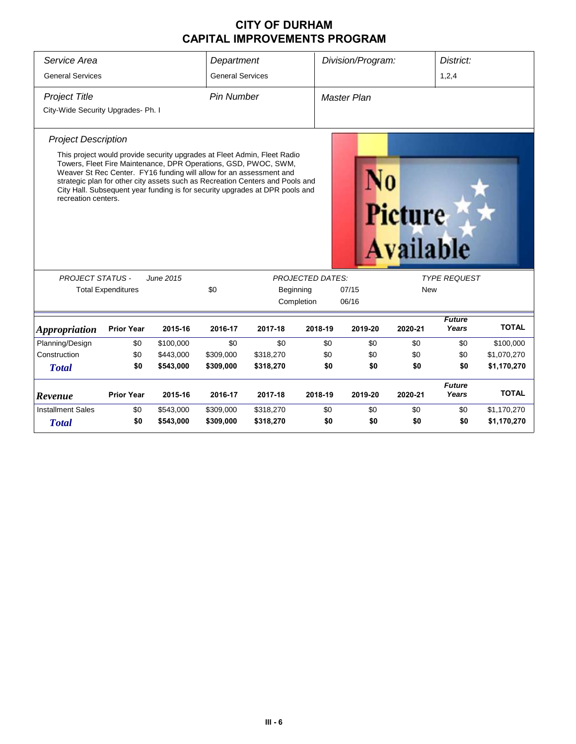| Service Area                       |                                                                     |           | Department              |                                                                                                                                                                                                                                                                                                              |                         | Division/Program: |                     | District:              |              |
|------------------------------------|---------------------------------------------------------------------|-----------|-------------------------|--------------------------------------------------------------------------------------------------------------------------------------------------------------------------------------------------------------------------------------------------------------------------------------------------------------|-------------------------|-------------------|---------------------|------------------------|--------------|
| <b>General Services</b>            |                                                                     |           | <b>General Services</b> |                                                                                                                                                                                                                                                                                                              |                         |                   |                     | 1,2,4                  |              |
| <b>Project Title</b>               |                                                                     |           | <b>Pin Number</b>       |                                                                                                                                                                                                                                                                                                              |                         | Master Plan       |                     |                        |              |
| City-Wide Security Upgrades- Ph. I |                                                                     |           |                         |                                                                                                                                                                                                                                                                                                              |                         |                   |                     |                        |              |
| <b>Project Description</b>         |                                                                     |           |                         |                                                                                                                                                                                                                                                                                                              |                         |                   |                     |                        |              |
| recreation centers.                | Weaver St Rec Center. FY16 funding will allow for an assessment and |           |                         | This project would provide security upgrades at Fleet Admin, Fleet Radio<br>Towers, Fleet Fire Maintenance, DPR Operations, GSD, PWOC, SWM,<br>strategic plan for other city assets such as Recreation Centers and Pools and<br>City Hall. Subsequent year funding is for security upgrades at DPR pools and |                         |                   | Picture<br>vailable |                        |              |
| <b>PROJECT STATUS -</b>            |                                                                     | June 2015 |                         |                                                                                                                                                                                                                                                                                                              | <b>PROJECTED DATES:</b> |                   |                     | <b>TYPE REQUEST</b>    |              |
|                                    | <b>Total Expenditures</b>                                           |           | \$0                     | Beginning                                                                                                                                                                                                                                                                                                    |                         | 07/15             | <b>New</b>          |                        |              |
|                                    |                                                                     |           |                         |                                                                                                                                                                                                                                                                                                              | Completion              | 06/16             |                     |                        |              |
| <b>Appropriation</b>               | <b>Prior Year</b>                                                   | 2015-16   | 2016-17                 | 2017-18                                                                                                                                                                                                                                                                                                      | 2018-19                 | 2019-20           | 2020-21             | <b>Future</b><br>Years | <b>TOTAL</b> |
| Planning/Design                    | \$0                                                                 | \$100,000 | \$0                     | \$0                                                                                                                                                                                                                                                                                                          | \$0                     | \$0               | \$0                 | \$0                    | \$100,000    |
| Construction                       | \$0                                                                 | \$443,000 | \$309,000               | \$318,270                                                                                                                                                                                                                                                                                                    | \$0                     | \$0               | \$0                 | \$0                    | \$1,070,270  |
| <b>Total</b>                       | \$0                                                                 | \$543,000 | \$309,000               | \$318,270                                                                                                                                                                                                                                                                                                    | \$0                     | \$0               | \$0                 | \$0                    | \$1,170,270  |
| Revenue                            | <b>Prior Year</b>                                                   | 2015-16   | 2016-17                 | 2017-18                                                                                                                                                                                                                                                                                                      | 2018-19                 | 2019-20           | 2020-21             | <b>Future</b><br>Years | <b>TOTAL</b> |
| <b>Installment Sales</b>           | \$0                                                                 | \$543,000 | \$309,000               | \$318,270                                                                                                                                                                                                                                                                                                    | \$0                     | \$0               | \$0                 | \$0                    | \$1,170,270  |
| <b>Total</b>                       | \$0                                                                 | \$543,000 | \$309,000               | \$318,270                                                                                                                                                                                                                                                                                                    | \$0                     | \$0               | \$0                 | \$0                    | \$1,170,270  |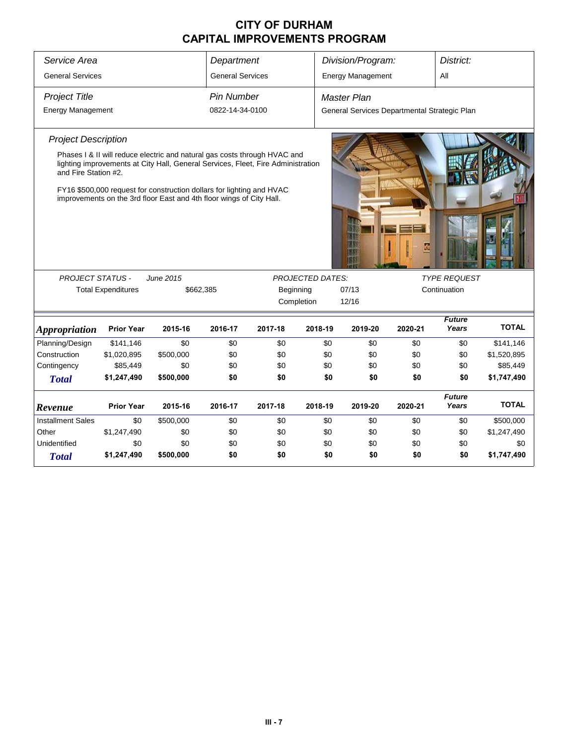| Service Area                                       | <b>General Services</b>   |                                                                                                                                                               |                         | Department |                         | Division/Program:                            |         | District:              |              |
|----------------------------------------------------|---------------------------|---------------------------------------------------------------------------------------------------------------------------------------------------------------|-------------------------|------------|-------------------------|----------------------------------------------|---------|------------------------|--------------|
|                                                    |                           |                                                                                                                                                               | <b>General Services</b> |            |                         | <b>Energy Management</b>                     |         | All                    |              |
| <b>Project Title</b>                               |                           |                                                                                                                                                               | <b>Pin Number</b>       |            |                         | <b>Master Plan</b>                           |         |                        |              |
| <b>Energy Management</b>                           |                           |                                                                                                                                                               | 0822-14-34-0100         |            |                         | General Services Departmental Strategic Plan |         |                        |              |
| <b>Project Description</b><br>and Fire Station #2. |                           | Phases I & II will reduce electric and natural gas costs through HVAC and<br>lighting improvements at City Hall, General Services, Fleet, Fire Administration |                         |            |                         |                                              |         |                        |              |
|                                                    |                           | FY16 \$500,000 request for construction dollars for lighting and HVAC<br>improvements on the 3rd floor East and 4th floor wings of City Hall.                 |                         |            |                         |                                              | G       |                        |              |
| <b>PROJECT STATUS -</b>                            |                           | June 2015                                                                                                                                                     |                         |            | <b>PROJECTED DATES:</b> |                                              |         | <b>TYPE REQUEST</b>    |              |
|                                                    | <b>Total Expenditures</b> | \$662,385                                                                                                                                                     |                         |            | Beginning               | 07/13                                        |         | Continuation           |              |
|                                                    |                           |                                                                                                                                                               |                         |            | Completion              | 12/16                                        |         |                        |              |
| <i><b>Appropriation</b></i>                        | <b>Prior Year</b>         | 2015-16                                                                                                                                                       | 2016-17                 | 2017-18    | 2018-19                 | 2019-20                                      | 2020-21 | <b>Future</b><br>Years | <b>TOTAL</b> |
| Planning/Design                                    | \$141,146                 | \$0                                                                                                                                                           | \$0                     | \$0        | \$0                     | \$0                                          | \$0     | \$0                    | \$141,146    |
| Construction                                       | \$1,020,895               | \$500,000                                                                                                                                                     | \$0                     | \$0        | \$0                     | \$0                                          | \$0     | \$0                    | \$1,520,895  |
| Contingency                                        | \$85,449                  | \$0                                                                                                                                                           | \$0                     | \$0        | \$0                     | \$0                                          | \$0     | \$0                    | \$85,449     |
| <b>Total</b>                                       | \$1,247,490               | \$500,000                                                                                                                                                     | \$0                     | \$0        | \$0                     | \$0                                          | \$0     | \$0                    | \$1,747,490  |
| Revenue                                            | <b>Prior Year</b>         | 2015-16                                                                                                                                                       | 2016-17                 | 2017-18    | 2018-19                 | 2019-20                                      | 2020-21 | <b>Future</b><br>Years | <b>TOTAL</b> |
| <b>Installment Sales</b>                           | \$0                       | \$500,000                                                                                                                                                     | \$0                     | \$0        | \$0                     | \$0                                          | \$0     | \$0                    | \$500,000    |
| Other                                              | \$1,247,490               | \$0                                                                                                                                                           | \$0                     | \$0        | \$0                     | \$0                                          | \$0     | \$0                    | \$1,247,490  |
| Unidentified                                       | \$0                       | \$0                                                                                                                                                           | \$0                     | \$0        | \$0                     | \$0                                          | \$0     | \$0                    | \$0          |
| <b>Total</b>                                       | \$1,247,490               | \$500,000                                                                                                                                                     | \$0                     | \$0        | \$0                     | \$0                                          | \$0     | \$0                    | \$1,747,490  |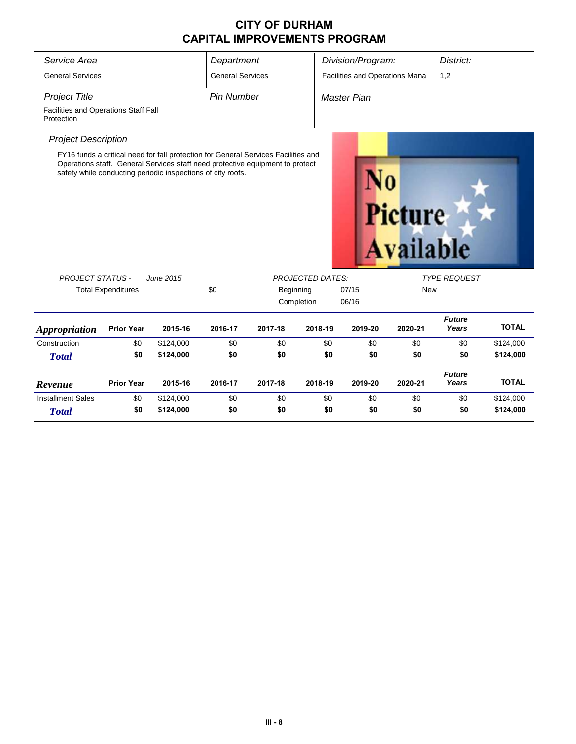| Service Area                                       |                           |                                                                                                                                                                                                                                    | Department              |         |                         | Division/Program:              |                                    | District:              |              |  |  |  |
|----------------------------------------------------|---------------------------|------------------------------------------------------------------------------------------------------------------------------------------------------------------------------------------------------------------------------------|-------------------------|---------|-------------------------|--------------------------------|------------------------------------|------------------------|--------------|--|--|--|
| <b>General Services</b>                            |                           |                                                                                                                                                                                                                                    | <b>General Services</b> |         |                         | Facilities and Operations Mana |                                    | 1,2                    |              |  |  |  |
| <b>Project Title</b>                               |                           |                                                                                                                                                                                                                                    | <b>Pin Number</b>       |         |                         | Master Plan                    |                                    |                        |              |  |  |  |
| Facilities and Operations Staff Fall<br>Protection |                           |                                                                                                                                                                                                                                    |                         |         |                         |                                |                                    |                        |              |  |  |  |
| <b>Project Description</b>                         |                           |                                                                                                                                                                                                                                    |                         |         |                         |                                |                                    |                        |              |  |  |  |
|                                                    |                           | FY16 funds a critical need for fall protection for General Services Facilities and<br>Operations staff. General Services staff need protective equipment to protect<br>safety while conducting periodic inspections of city roofs. |                         |         |                         |                                | <b>Picture</b><br><b>Available</b> |                        |              |  |  |  |
| <b>PROJECT STATUS -</b>                            |                           | June 2015                                                                                                                                                                                                                          |                         |         | <b>PROJECTED DATES:</b> |                                |                                    | <b>TYPE REQUEST</b>    |              |  |  |  |
|                                                    | <b>Total Expenditures</b> |                                                                                                                                                                                                                                    | \$0                     |         | Beginning               | 07/15                          | <b>New</b>                         |                        |              |  |  |  |
|                                                    |                           |                                                                                                                                                                                                                                    |                         |         | Completion              | 06/16                          |                                    |                        |              |  |  |  |
| <b>Appropriation</b>                               | <b>Prior Year</b>         | 2015-16                                                                                                                                                                                                                            | 2016-17                 | 2017-18 | 2018-19                 | 2019-20                        | 2020-21                            | <b>Future</b><br>Years | <b>TOTAL</b> |  |  |  |
| Construction                                       | \$0                       | \$124,000                                                                                                                                                                                                                          | \$0                     | \$0     | \$0                     | \$0                            | \$0                                | \$0                    | \$124,000    |  |  |  |
| <b>Total</b>                                       | \$0                       | \$124,000                                                                                                                                                                                                                          | \$0                     | \$0     | \$0                     | \$0                            | \$0                                | \$0                    | \$124,000    |  |  |  |
| Revenue                                            | <b>Prior Year</b>         | 2015-16                                                                                                                                                                                                                            | 2016-17                 | 2017-18 | 2018-19                 | 2019-20                        | 2020-21                            | <b>Future</b><br>Years | <b>TOTAL</b> |  |  |  |
| <b>Installment Sales</b>                           | \$0                       | \$124,000                                                                                                                                                                                                                          | \$0                     | \$0     | \$0                     | \$0                            | \$0                                | \$0                    | \$124,000    |  |  |  |
| <b>Total</b>                                       | \$0                       | \$124,000                                                                                                                                                                                                                          | \$0                     | \$0     | \$0                     | \$0                            | \$0                                | \$0                    | \$124,000    |  |  |  |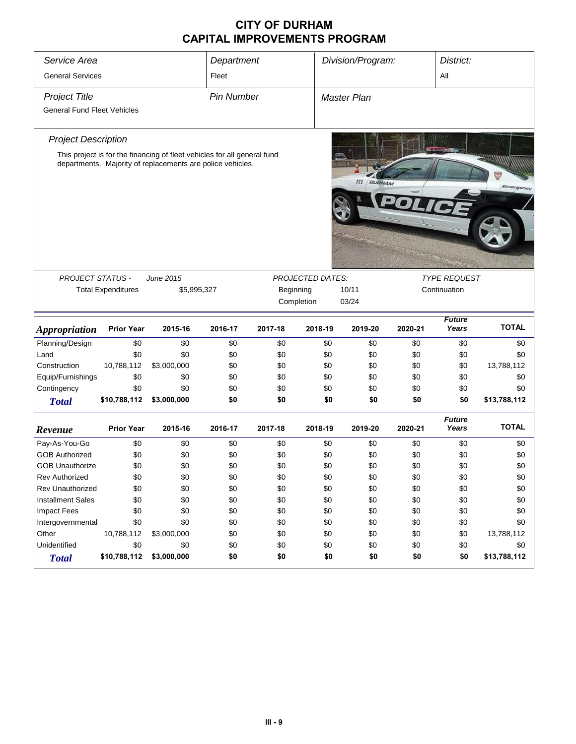| Service Area                       |                           |                                                                                                                                        | Department        |           | Division/Program:<br>District: |                      |         |                     |                |
|------------------------------------|---------------------------|----------------------------------------------------------------------------------------------------------------------------------------|-------------------|-----------|--------------------------------|----------------------|---------|---------------------|----------------|
| <b>General Services</b>            |                           |                                                                                                                                        | Fleet             |           |                                |                      |         | All                 |                |
| <b>Project Title</b>               |                           |                                                                                                                                        | <b>Pin Number</b> |           |                                | Master Plan          |         |                     |                |
| <b>General Fund Fleet Vehicles</b> |                           |                                                                                                                                        |                   |           |                                |                      |         |                     |                |
|                                    |                           |                                                                                                                                        |                   |           |                                |                      |         |                     |                |
| <b>Project Description</b>         |                           |                                                                                                                                        |                   |           |                                |                      |         |                     |                |
|                                    |                           | This project is for the financing of fleet vehicles for all general fund<br>departments. Majority of replacements are police vehicles. |                   |           |                                | 222<br><b>QURHAM</b> |         |                     | G<br>Emergency |
|                                    |                           |                                                                                                                                        |                   |           |                                |                      |         |                     |                |
|                                    |                           |                                                                                                                                        |                   |           |                                |                      |         |                     |                |
|                                    |                           |                                                                                                                                        |                   |           |                                |                      |         |                     |                |
|                                    |                           |                                                                                                                                        |                   |           |                                |                      |         |                     |                |
|                                    |                           |                                                                                                                                        |                   |           |                                |                      |         |                     |                |
| <b>PROJECT STATUS -</b>            |                           | June 2015                                                                                                                              |                   |           | PROJECTED DATES:               |                      |         | <b>TYPE REQUEST</b> |                |
|                                    | <b>Total Expenditures</b> | \$5,995,327                                                                                                                            |                   | Beginning |                                | 10/11                |         | Continuation        |                |
|                                    | Completion                |                                                                                                                                        |                   |           |                                | 03/24                |         |                     |                |
|                                    |                           |                                                                                                                                        |                   |           |                                |                      |         |                     |                |
|                                    |                           |                                                                                                                                        |                   |           |                                |                      |         | <b>Future</b>       |                |
| <b>Appropriation</b>               | <b>Prior Year</b>         | 2015-16                                                                                                                                | 2016-17           | 2017-18   | 2018-19                        | 2019-20              | 2020-21 | Years               | <b>TOTAL</b>   |
| Planning/Design                    | \$0                       | \$0                                                                                                                                    | \$0               | \$0       | \$0                            | \$0                  | \$0     | \$0                 | \$0            |
| Land                               | \$0                       | \$0                                                                                                                                    | \$0               | \$0       | \$0                            | \$0                  | \$0     | \$0                 | \$0            |
| Construction                       | 10,788,112                | \$3,000,000                                                                                                                            | \$0               | \$0       | \$0                            | \$0                  | \$0     | \$0                 | 13,788,112     |
| Equip/Furnishings                  | \$0                       | \$0                                                                                                                                    | \$0               | \$0       | \$0                            | \$0                  | \$0     | \$0                 | \$0            |
| Contingency                        | \$0                       | \$0                                                                                                                                    | \$0               | \$0       | \$0                            | \$0                  | \$0     | \$0                 | \$0            |
| <b>Total</b>                       | \$10,788,112              | \$3,000,000                                                                                                                            | \$0               | \$0       | \$0                            | \$0                  | \$0     | \$0                 | \$13,788,112   |
|                                    |                           |                                                                                                                                        |                   |           |                                |                      |         | <b>Future</b>       |                |
| Revenue                            | <b>Prior Year</b>         | 2015-16                                                                                                                                | 2016-17           | 2017-18   | 2018-19                        | 2019-20              | 2020-21 | Years               | <b>TOTAL</b>   |
| Pay-As-You-Go                      | \$0                       | \$0                                                                                                                                    | \$0               | \$0       | \$0                            | \$0                  | \$0     | \$0                 | \$0            |
| <b>GOB Authorized</b>              | \$0                       | \$0                                                                                                                                    | \$0               | \$0       | \$0                            | \$0                  | \$0     | \$0                 | \$0            |
| <b>GOB Unauthorize</b>             | \$0                       | \$0                                                                                                                                    | \$0               | \$0       | \$0                            | \$0                  | \$0     | \$0                 | \$0            |
| Rev Authorized                     | \$0                       | \$0                                                                                                                                    | \$0               | \$0       | \$0                            | \$0                  | \$0     | \$0                 | \$0            |
| <b>Rev Unauthorized</b>            | \$0                       | \$0                                                                                                                                    | \$0               | \$0       | \$0                            | \$0                  | \$0     | \$0                 | \$0            |
| <b>Installment Sales</b>           | \$0                       | \$0                                                                                                                                    | \$0               | \$0       | \$0                            | \$0                  | \$0     | \$0                 | \$0            |
| Impact Fees                        | \$0                       | \$0                                                                                                                                    | \$0               | \$0       | \$0                            | \$0                  | \$0     | \$0                 | \$0            |
| Intergovernmental                  | \$0                       | \$0                                                                                                                                    | \$0               | \$0       | \$0                            | \$0                  | \$0     | \$0                 | \$0            |
| Other                              | 10,788,112                | \$3,000,000                                                                                                                            | \$0               | \$0       | \$0                            | \$0                  | \$0     | \$0                 | 13,788,112     |
| Unidentified                       | \$0                       | \$0                                                                                                                                    | \$0               | \$0       | \$0                            | \$0                  | \$0     | \$0                 | \$0            |